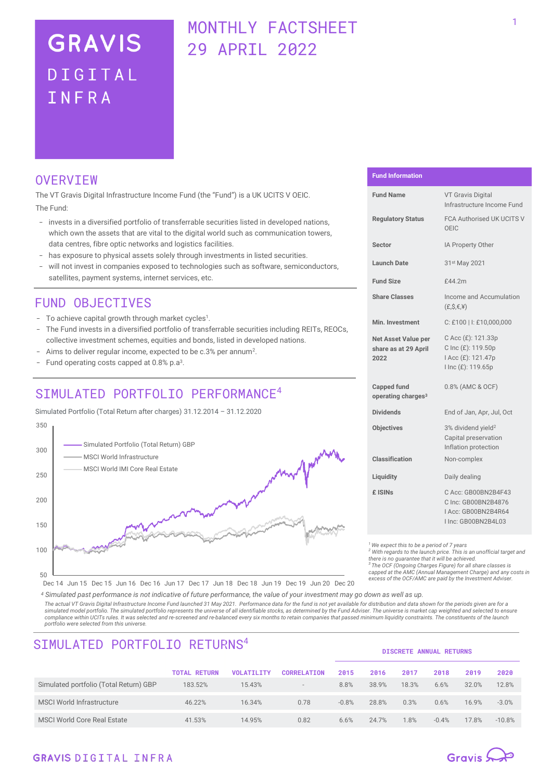# **GRAVIS** DIGITAL TNFRA

# MONTHLY FACTSHEET 29 APRIL 2022

# **OVERVIEW**

The VT Gravis Digital Infrastructure Income Fund (the "Fund") is a UK UCITS V OEIC. The Fund:

- invests in a diversified portfolio of transferrable securities listed in developed nations, which own the assets that are vital to the digital world such as communication towers, data centres, fibre optic networks and logistics facilities.
- has exposure to physical assets solely through investments in listed securities.
- will not invest in companies exposed to technologies such as software, semiconductors, satellites, payment systems, internet services, etc.

# FUND OBJECTIVES

- To achieve capital growth through market cycles<sup>1</sup>.
- The Fund invests in a diversified portfolio of transferrable securities including REITs, REOCs, collective investment schemes, equities and bonds, listed in developed nations.
- Aims to deliver regular income, expected to be c.3% per annum<sup>2</sup>.
- Fund operating costs capped at  $0.8\%$  p.a<sup>3</sup>.

# SIMULATED PORTFOLIO PERFORMANCE<sup>4</sup>

Simulated Portfolio (Total Return after charges) 31.12.2014 – 31.12.2020



#### **Fund Information**

| <b>Fund Name</b>                                     | <b>VT Gravis Digital</b><br>Infrastructure Income Fund                                   |  |  |
|------------------------------------------------------|------------------------------------------------------------------------------------------|--|--|
| <b>Regulatory Status</b>                             | <b>FCA Authorised UK UCITS V</b><br>OEIC                                                 |  |  |
| <b>Sector</b>                                        | IA Property Other                                                                        |  |  |
| Launch Date                                          | 31st May 2021                                                                            |  |  |
| <b>Fund Size</b>                                     | £44.2m                                                                                   |  |  |
| <b>Share Classes</b>                                 | Income and Accumulation<br>(E.S, E, Y)                                                   |  |  |
| Min. Investment                                      | C: £100   I: £10,000,000                                                                 |  |  |
| Net Asset Value per<br>share as at 29 April<br>2022  | C Acc (£): 121.33p<br>C Inc (£): 119.50p<br>I Acc (£): 121.47p<br>I Inc (£): 119.65p     |  |  |
| <b>Capped fund</b><br>operating charges <sup>3</sup> | 0.8% (AMC & OCF)                                                                         |  |  |
| <b>Dividends</b>                                     | End of Jan, Apr, Jul, Oct                                                                |  |  |
| <b>Objectives</b>                                    | 3% dividend yield <sup>2</sup><br>Capital preservation<br>Inflation protection           |  |  |
| Classification                                       | Non-complex                                                                              |  |  |
| Liquidity                                            | Daily dealing                                                                            |  |  |
| £ ISIN <sub>S</sub>                                  | C Acc: GB00BN2B4F43<br>C Inc: GB00BN2B4876<br>I Acc: GB00BN2B4R64<br>I Inc: GB00BN2B4L03 |  |  |

*<sup>1</sup>We expect this to be a period of 7 years*

*<sup>2</sup> With regards to the launch price. This is an unofficial target and* 

*there is no guarantee that it will be achieved. <sup>3</sup> The OCF (Ongoing Charges Figure) for all share classes is* 

*capped at the AMC (Annual Management Charge) and any costs in excess of the OCF/AMC are paid by the Investment Adviser.*

Dec 14 Jun 15 Dec 15 Jun 16 Dec 16 Jun 17 Dec 17 Jun 18 Dec 18 Jun 19 Dec 19 Jun 20 Dec 20

*<sup>4</sup> Simulated past performance is not indicative of future performance, the value of your investment may go down as well as up. The actual VT Gravis Digital Infrastructure Income Fund launched 31 May 2021. Performance data for the fund is not yet available for distribution and data shown for the periods given are for a*  simulated model portfolio. The simulated portfolio represents the universe of all identifiable stocks, as determined by the Fund Adviser. The universe is market cap weighted and selected to ensure *compliance within UCITs rules. It was selected and re-screened and re-balanced every six months to retain companies that passed minimum liquidity constraints. The constituents of the launch portfolio were selected from this universe.*

| SIMULATED PORTFOLIO RETURNS <sup>4</sup> |                     |                   |                          | <b>DISCRETE ANNUAL RETURNS</b> |       |       |         |       |          |
|------------------------------------------|---------------------|-------------------|--------------------------|--------------------------------|-------|-------|---------|-------|----------|
|                                          | <b>TOTAL RETURN</b> | <b>VOLATILITY</b> | <b>CORRELATION</b>       | 2015                           | 2016  | 2017  | 2018    | 2019  | 2020     |
| Simulated portfolio (Total Return) GBP   | 183.52%             | 15.43%            | $\overline{\phantom{a}}$ | 8.8%                           | 38.9% | 18.3% | 6.6%    | 32.0% | 12.8%    |
| <b>MSCI World Infrastructure</b>         | 46.22%              | 16.34%            | 0.78                     | $-0.8%$                        | 28.8% | 0.3%  | 0.6%    | 16.9% | $-3.0%$  |
| <b>MSCI World Core Real Estate</b>       | 41.53%              | 14.95%            | 0.82                     | 6.6%                           | 24.7% | 1.8%  | $-0.4%$ | 17.8% | $-10.8%$ |

### **GRAVIS DIGITAL INFRA**

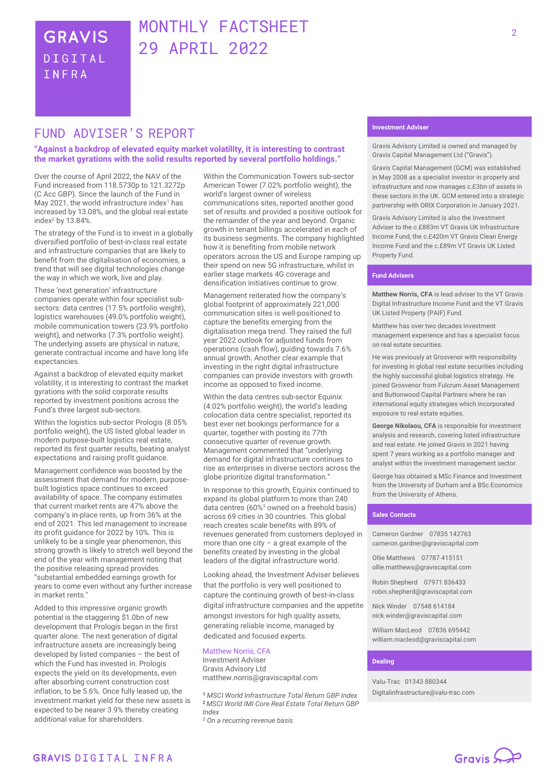# MONTHLY FACTSHEET 29 APRIL 2022

# **FUND ADVTSFR'S REPORT**

#### **"Against a backdrop of elevated equity market volatility, it is interesting to contrast the market gyrations with the solid results reported by several portfolio holdings."**

Over the course of April 2022, the NAV of the Fund increased from 118.5730p to 121.3272p (C Acc GBP). Since the launch of the Fund in May 2021, the world infrastructure index<sup>1</sup> has increased by 13.08%, and the global real estate index<sup>2</sup> by 13.84%.

The strategy of the Fund is to invest in a globally diversified portfolio of best-in-class real estate and infrastructure companies that are likely to benefit from the digitalisation of economies, a trend that will see digital technologies change the way in which we work, live and play.

These 'next generation' infrastructure companies operate within four specialist subsectors: data centres (17.5% portfolio weight), logistics warehouses (49.0% portfolio weight), mobile communication towers (23.9% portfolio weight), and networks (7.3% portfolio weight). The underlying assets are physical in nature, generate contractual income and have long life expectancies.

Against a backdrop of elevated equity market volatility, it is interesting to contrast the market gyrations with the solid corporate results reported by investment positions across the Fund's three largest sub-sectors.

Within the logistics sub-sector Prologis (8.05% portfolio weight), the US listed global leader in modern purpose-built logistics real estate, reported its first quarter results, beating analyst expectations and raising profit guidance.

Management confidence was boosted by the assessment that demand for modern, purposebuilt logistics space continues to exceed availability of space. The company estimates that current market rents are 47% above the company's in-place rents, up from 36% at the end of 2021. This led management to increase its profit guidance for 2022 by 10%. This is unlikely to be a single year phenomenon, this strong growth is likely to stretch well beyond the end of the year with management noting that the positive releasing spread provides "substantial embedded earnings growth for years to come even without any further increase in market rents."

Added to this impressive organic growth potential is the staggering \$1.0bn of new development that Prologis began in the first quarter alone. The next generation of digital infrastructure assets are increasingly being developed by listed companies – the best of which the Fund has invested in. Prologis expects the yield on its developments, even after absorbing current construction cost inflation, to be 5.6%. Once fully leased up, the investment market yield for these new assets is expected to be nearer 3.9% thereby creating additional value for shareholders.

Within the Communication Towers sub-sector American Tower (7.02% portfolio weight), the world's largest owner of wireless communications sites, reported another good set of results and provided a positive outlook for the remainder of the year and beyond. Organic growth in tenant billings accelerated in each of its business segments. The company highlighted how it is benefiting from mobile network operators across the US and Europe ramping up their spend on new 5G infrastructure, whilst in earlier stage markets 4G coverage and densification initiatives continue to grow.

Management reiterated how the company's global footprint of approximately 221,000 communication sites is well-positioned to capture the benefits emerging from the digitalisation mega trend. They raised the full year 2022 outlook for adjusted funds from operations (cash flow), guiding towards 7.6% annual growth. Another clear example that investing in the right digital infrastructure companies can provide investors with growth income as opposed to fixed income.

Within the data centres sub-sector Equinix (4.02% portfolio weight), the world's leading colocation data centre specialist, reported its best ever net bookings performance for a quarter, together with posting its 77th consecutive quarter of revenue growth. Management commented that "underlying demand for digital infrastructure continues to rise as enterprises in diverse sectors across the globe prioritize digital transformation."

In response to this growth, Equinix continued to expand its global platform to more than 240 data centres (60%<sup>3</sup> owned on a freehold basis) across 69 cities in 30 countries. This global reach creates scale benefits with 89% of revenues generated from customers deployed in more than one city – a great example of the benefits created by investing in the global leaders of the digital infrastructure world.

Looking ahead, the Investment Adviser believes that the portfolio is very well positioned to capture the continuing growth of best-in-class digital infrastructure companies and the appetite amongst investors for high quality assets, generating reliable income, managed by dedicated and focused experts.

### Matthew Norris, CFA

Investment Adviser Gravis Advisory Ltd matthew.norris@graviscapital.com

<sup>1</sup> *MSCI World Infrastructure Total Return GBP Index* <sup>2</sup>*MSCI World IMI Core Real Estate Total Return GBP Index*

*<sup>3</sup> On a recurring revenue basis*

Gravis Advisory Limited is owned and managed by Gravis Capital Management Ltd ("Gravis").

Gravis Capital Management (GCM) was established in May 2008 as a specialist investor in property and infrastructure and now manages c.£3bn of assets in these sectors in the UK. GCM entered into a strategic partnership with ORIX Corporation in January 2021.

Gravis Advisory Limited is also the Investment Adviser to the c.£883m VT Gravis UK Infrastructure Income Fund, the c.£420m VT Gravis Clean Energy Income Fund and the c.£89m VT Gravis UK Listed Property Fund.

#### **Fund Advisers**

**Matthew Norris, CFA** is lead adviser to the VT Gravis Digital Infrastructure Income Fund and the VT Gravis UK Listed Property (PAIF) Fund.

Matthew has over two decades investment management experience and has a specialist focus on real estate securities.

He was previously at Grosvenor with responsibility for investing in global real estate securities including the highly successful global logistics strategy. He joined Grosvenor from Fulcrum Asset Management and Buttonwood Capital Partners where he ran international equity strategies which incorporated exposure to real estate equities.

**George Nikolaou, CFA** is responsible for investment analysis and research, covering listed infrastructure and real estate. He joined Gravis in 2021 having spent 7 years working as a portfolio manager and analyst within the investment management sector.

George has obtained a MSc Finance and Investment from the University of Durham and a BSc Economics from the University of Athens.

#### **Sales Contacts**

Cameron Gardner 07835 142763 cameron.gardner@graviscapital.com

Ollie Matthews 07787 415151 [ollie.matthews@graviscapital.com](mailto:ollie.matthews@graviscapital.com)

Robin Shepherd 07971 836433 [robin.shepherd@graviscapital.com](mailto:robin.shepherd@graviscapital.com)

Nick Winder [07548 614184](tel:07548%20614184) nick.winder@graviscapital.com

William MacLeod 07836 695442 [william.macleod@graviscapital.com](mailto:william.macleod@graviscapital.com)

#### **Dealing**

Valu‑Trac 01343 880344 Digitalinfrastructure@valu-trac.com